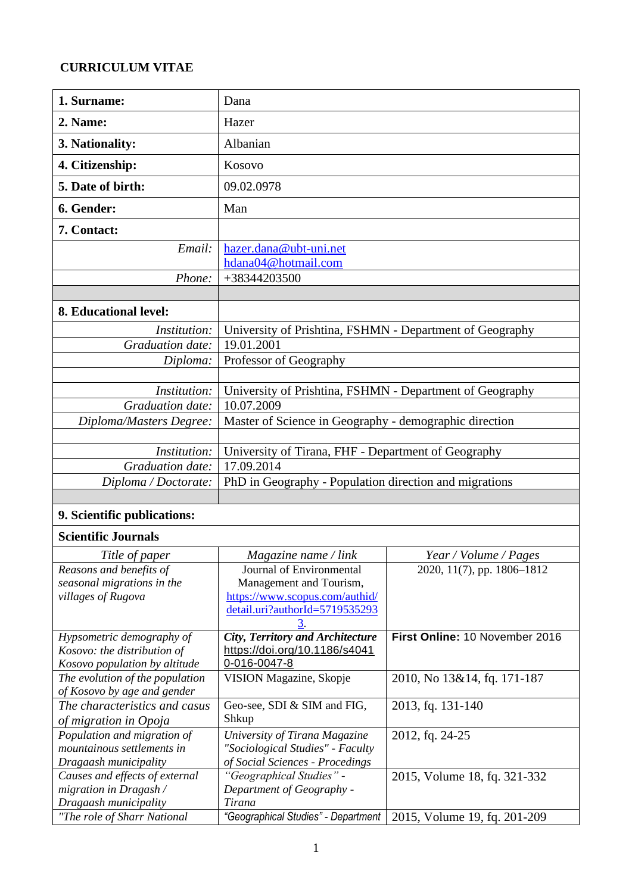#### **CURRICULUM VITAE**

| Dana                                                     |
|----------------------------------------------------------|
| Hazer                                                    |
| Albanian                                                 |
| Kosovo                                                   |
| 09.02.0978                                               |
| Man                                                      |
|                                                          |
| hazer.dana@ubt-uni.net<br>hdana04@hotmail.com            |
| +38344203500                                             |
|                                                          |
|                                                          |
| University of Prishtina, FSHMN - Department of Geography |
| 19.01.2001                                               |
| Professor of Geography                                   |
|                                                          |
| University of Prishtina, FSHMN - Department of Geography |
| 10.07.2009                                               |
| Master of Science in Geography - demographic direction   |
|                                                          |
| University of Tirana, FHF - Department of Geography      |
| 17.09.2014                                               |
| PhD in Geography - Population direction and migrations   |
|                                                          |
|                                                          |

# **9. Scientific publications:**

### **Scientific Journals**

| Title of paper                  | Magazine name / link                    | Year / Volume / Pages          |  |
|---------------------------------|-----------------------------------------|--------------------------------|--|
| Reasons and benefits of         | Journal of Environmental                | 2020, 11(7), pp. 1806-1812     |  |
| seasonal migrations in the      | Management and Tourism,                 |                                |  |
| villages of Rugova              | https://www.scopus.com/authid/          |                                |  |
|                                 | detail.uri?authorId=5719535293          |                                |  |
|                                 |                                         |                                |  |
| Hypsometric demography of       | <b>City, Territory and Architecture</b> | First Online: 10 November 2016 |  |
| Kosovo: the distribution of     | https://doi.org/10.1186/s4041           |                                |  |
| Kosovo population by altitude   | 0-016-0047-8                            |                                |  |
| The evolution of the population | VISION Magazine, Skopje                 | 2010, No 13&14, fq. 171-187    |  |
| of Kosovo by age and gender     |                                         |                                |  |
| The characteristics and casus   | Geo-see, SDI & SIM and FIG,             | 2013, fq. 131-140              |  |
| of migration in Opoja           | Shkup                                   |                                |  |
| Population and migration of     | University of Tirana Magazine           | 2012, fq. 24-25                |  |
| mountainous settlements in      | "Sociological Studies" - Faculty        |                                |  |
| Dragaash municipality           | of Social Sciences - Procedings         |                                |  |
| Causes and effects of external  | "Geographical Studies" -                | 2015, Volume 18, fq. 321-332   |  |
| migration in Dragash $\land$    | Department of Geography -               |                                |  |
| Dragaash municipality           | Tirana                                  |                                |  |
| "The role of Sharr National     | "Geographical Studies" - Department     | 2015, Volume 19, fq. 201-209   |  |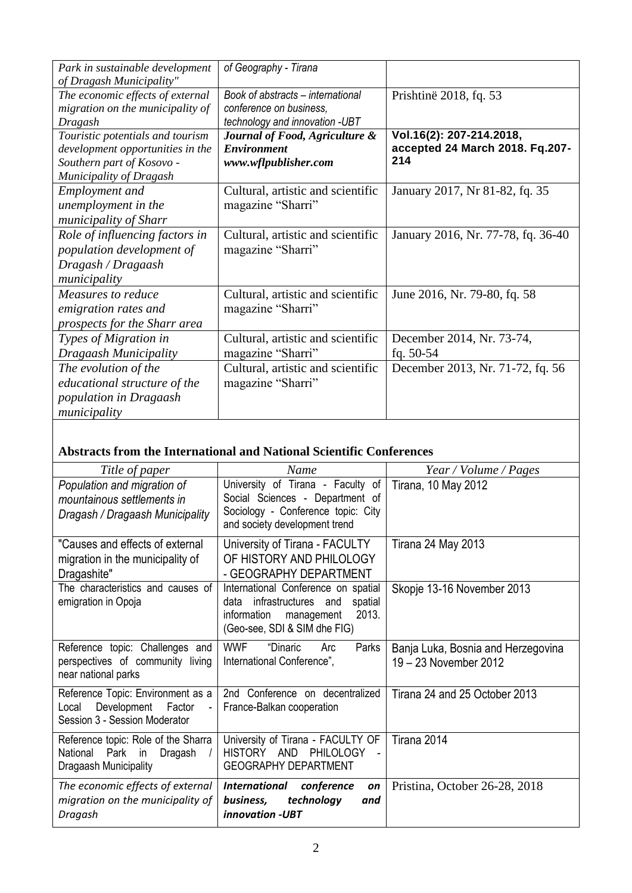| Park in sustainable development  | of Geography - Tirana             |                                    |  |
|----------------------------------|-----------------------------------|------------------------------------|--|
| of Dragash Municipality"         |                                   |                                    |  |
| The economic effects of external | Book of abstracts - international | Prishtinë 2018, fq. 53             |  |
| migration on the municipality of | conference on business,           |                                    |  |
| Dragash                          | technology and innovation -UBT    |                                    |  |
| Touristic potentials and tourism | Journal of Food, Agriculture &    | Vol.16(2): 207-214.2018,           |  |
| development opportunities in the | <b>Environment</b>                | accepted 24 March 2018. Fq.207-    |  |
| Southern part of Kosovo -        | www.wflpublisher.com              | 214                                |  |
| <b>Municipality of Dragash</b>   |                                   |                                    |  |
| <b>Employment</b> and            | Cultural, artistic and scientific | January 2017, Nr 81-82, fq. 35     |  |
| unemployment in the              | magazine "Sharri"                 |                                    |  |
| municipality of Sharr            |                                   |                                    |  |
| Role of influencing factors in   | Cultural, artistic and scientific | January 2016, Nr. 77-78, fq. 36-40 |  |
| population development of        | magazine "Sharri"                 |                                    |  |
| Dragash / Dragaash               |                                   |                                    |  |
| municipality                     |                                   |                                    |  |
| Measures to reduce               | Cultural, artistic and scientific | June 2016, Nr. 79-80, fq. 58       |  |
| emigration rates and             | magazine "Sharri"                 |                                    |  |
| prospects for the Sharr area     |                                   |                                    |  |
| Types of Migration in            | Cultural, artistic and scientific | December 2014, Nr. 73-74,          |  |
| Dragaash Municipality            | magazine "Sharri"                 | fq. $50-54$                        |  |
| The evolution of the             | Cultural, artistic and scientific | December 2013, Nr. 71-72, fq. 56   |  |
| educational structure of the     | magazine "Sharri"                 |                                    |  |
| population in Dragaash           |                                   |                                    |  |
| municipality                     |                                   |                                    |  |

### **Abstracts from the International and National Scientific Conferences**

| Title of paper                                                                                                                   | Name                                                                                                                                                   | Year / Volume / Pages                                       |
|----------------------------------------------------------------------------------------------------------------------------------|--------------------------------------------------------------------------------------------------------------------------------------------------------|-------------------------------------------------------------|
| Population and migration of<br>mountainous settlements in<br>Dragash / Dragaash Municipality                                     | University of Tirana - Faculty of<br>Social Sciences - Department of<br>Sociology - Conference topic: City<br>and society development trend            | <b>Tirana, 10 May 2012</b>                                  |
| "Causes and effects of external<br>migration in the municipality of<br>Dragashite"                                               | University of Tirana - FACULTY<br>OF HISTORY AND PHILOLOGY<br>- GEOGRAPHY DEPARTMENT                                                                   | Tirana 24 May 2013                                          |
| The characteristics and causes of<br>emigration in Opoja                                                                         | International Conference on spatial<br>infrastructures<br>data<br>and<br>spatial<br>2013.<br>information<br>management<br>(Geo-see, SDI & SIM dhe FIG) | Skopje 13-16 November 2013                                  |
| Reference topic: Challenges and<br>perspectives of community living<br>near national parks                                       | <b>WWF</b><br>"Dinaric<br>Parks<br>Arc<br>International Conference",                                                                                   | Banja Luka, Bosnia and Herzegovina<br>19 - 23 November 2012 |
| Reference Topic: Environment as a<br>Development<br>Factor<br>Local<br>$\overline{\phantom{a}}$<br>Session 3 - Session Moderator | 2nd Conference on decentralized<br>France-Balkan cooperation                                                                                           | Tirana 24 and 25 October 2013                               |
| Reference topic: Role of the Sharra<br>Park<br>Dragash<br>National<br>in<br>Dragaash Municipality                                | University of Tirana - FACULTY OF<br>HISTORY AND<br>PHILOLOGY<br>$\blacksquare$<br><b>GEOGRAPHY DEPARTMENT</b>                                         | Tirana 2014                                                 |
| The economic effects of external<br>migration on the municipality of<br>Dragash                                                  | <i>International</i><br>conference<br>on<br>technology<br>business,<br>and<br>innovation -UBT                                                          | Pristina, October 26-28, 2018                               |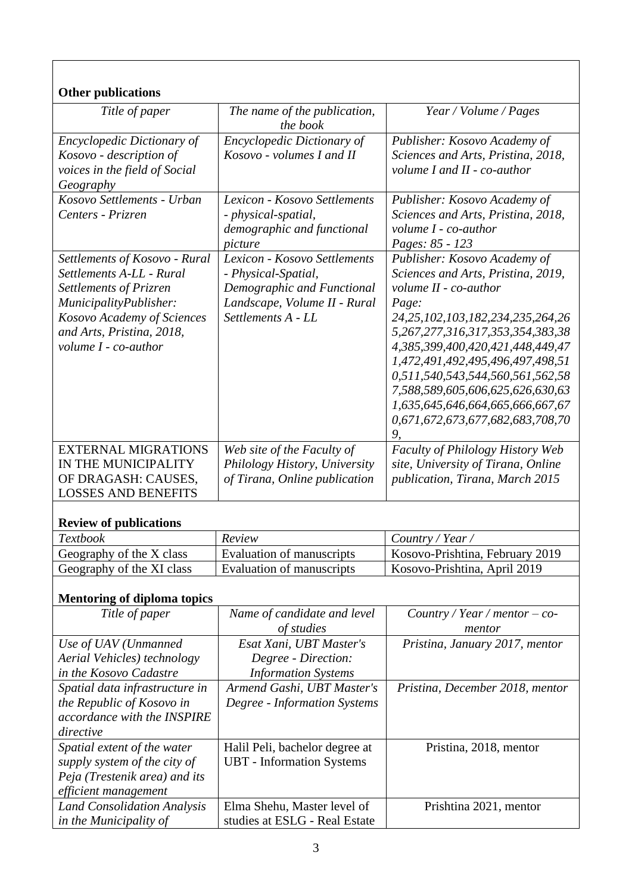#### **Other publications**

| Othu publications                 |                                                                   |                                          |  |
|-----------------------------------|-------------------------------------------------------------------|------------------------------------------|--|
| Title of paper                    | The name of the publication,<br>Year / Volume / Pages<br>the book |                                          |  |
| <b>Encyclopedic Dictionary of</b> | <b>Encyclopedic Dictionary of</b>                                 | Publisher: Kosovo Academy of             |  |
| Kosovo - description of           | Kosovo - volumes I and II                                         | Sciences and Arts, Pristina, 2018,       |  |
| voices in the field of Social     |                                                                   | volume I and II - co-author              |  |
| Geography                         |                                                                   |                                          |  |
| Kosovo Settlements - Urban        | Lexicon - Kosovo Settlements                                      | Publisher: Kosovo Academy of             |  |
| Centers - Prizren                 | - physical-spatial,                                               | Sciences and Arts, Pristina, 2018,       |  |
|                                   | demographic and functional                                        | volume I - co-author                     |  |
|                                   | picture                                                           | Pages: 85 - 123                          |  |
| Settlements of Kosovo - Rural     | Lexicon - Kosovo Settlements                                      | Publisher: Kosovo Academy of             |  |
| Settlements A-LL - Rural          | - Physical-Spatial,                                               | Sciences and Arts, Pristina, 2019,       |  |
| Settlements of Prizren            | Demographic and Functional                                        | volume II - co-author                    |  |
| MunicipalityPublisher:            | Landscape, Volume II - Rural                                      | Page:                                    |  |
| Kosovo Academy of Sciences        | Settlements A - LL                                                | 24, 25, 102, 103, 182, 234, 235, 264, 26 |  |
| and Arts, Pristina, 2018,         |                                                                   | 5,267,277,316,317,353,354,383,38         |  |
| volume I - co-author              |                                                                   | 4,385,399,400,420,421,448,449,47         |  |
|                                   |                                                                   | 1,472,491,492,495,496,497,498,51         |  |
|                                   |                                                                   | 0,511,540,543,544,560,561,562,58         |  |
|                                   |                                                                   | 7,588,589,605,606,625,626,630,63         |  |
|                                   |                                                                   | 1,635,645,646,664,665,666,667,67         |  |
|                                   |                                                                   | 0,671,672,673,677,682,683,708,70         |  |
|                                   |                                                                   | 9,                                       |  |
| <b>EXTERNAL MIGRATIONS</b>        | Web site of the Faculty of                                        | Faculty of Philology History Web         |  |
| IN THE MUNICIPALITY               | Philology History, University                                     | site, University of Tirana, Online       |  |
| OF DRAGASH: CAUSES,               | of Tirana, Online publication<br>publication, Tirana, March 2015  |                                          |  |
| <b>LOSSES AND BENEFITS</b>        |                                                                   |                                          |  |
| <b>Review of publications</b>     |                                                                   |                                          |  |
| <b>Textbook</b>                   | Review                                                            | Country / Year /                         |  |
| Geography of the X class          | Evaluation of manuscripts                                         | Kosovo-Prishtina, February 2019          |  |
| Geography of the XI class         | <b>Evaluation of manuscripts</b>                                  | Kosovo-Prishtina, April 2019             |  |
|                                   |                                                                   |                                          |  |

### **Mentoring of diploma topics**

| Title of paper                     | Name of candidate and level      | Country / Year / mentor $-$ co- |
|------------------------------------|----------------------------------|---------------------------------|
|                                    | of studies                       | mentor                          |
| Use of UAV (Unmanned               | Esat Xani, UBT Master's          | Pristina, January 2017, mentor  |
| Aerial Vehicles) technology        | Degree - Direction:              |                                 |
| in the Kosovo Cadastre             | <b>Information Systems</b>       |                                 |
| Spatial data infrastructure in     | Armend Gashi, UBT Master's       | Pristina, December 2018, mentor |
| the Republic of Kosovo in          | Degree - Information Systems     |                                 |
| accordance with the INSPIRE        |                                  |                                 |
| directive                          |                                  |                                 |
| Spatial extent of the water        | Halil Peli, bachelor degree at   | Pristina, 2018, mentor          |
| supply system of the city of       | <b>UBT</b> - Information Systems |                                 |
| Peja (Trestenik area) and its      |                                  |                                 |
| efficient management               |                                  |                                 |
| <b>Land Consolidation Analysis</b> | Elma Shehu, Master level of      | Prishtina 2021, mentor          |
| in the Municipality of             | studies at ESLG - Real Estate    |                                 |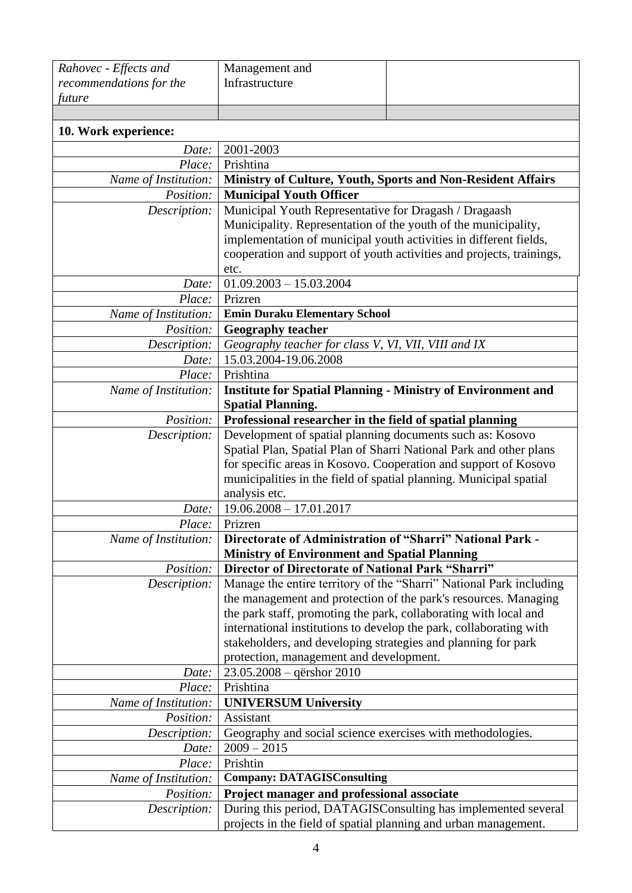| Rahovec - Effects and   | Management and                                                                                           |                                                                     |  |
|-------------------------|----------------------------------------------------------------------------------------------------------|---------------------------------------------------------------------|--|
| recommendations for the | Infrastructure                                                                                           |                                                                     |  |
| future                  |                                                                                                          |                                                                     |  |
|                         |                                                                                                          |                                                                     |  |
| 10. Work experience:    |                                                                                                          |                                                                     |  |
| Date:                   | 2001-2003                                                                                                |                                                                     |  |
| Place:                  | Prishtina                                                                                                |                                                                     |  |
| Name of Institution:    |                                                                                                          | Ministry of Culture, Youth, Sports and Non-Resident Affairs         |  |
| Position:               | <b>Municipal Youth Officer</b>                                                                           |                                                                     |  |
| Description:            | Municipal Youth Representative for Dragash / Dragaash                                                    |                                                                     |  |
|                         | Municipality. Representation of the youth of the municipality,                                           |                                                                     |  |
|                         |                                                                                                          | implementation of municipal youth activities in different fields,   |  |
|                         | cooperation and support of youth activities and projects, trainings,                                     |                                                                     |  |
|                         | etc.                                                                                                     |                                                                     |  |
| Date:                   | $01.09.2003 - 15.03.2004$                                                                                |                                                                     |  |
| Place:                  | Prizren                                                                                                  |                                                                     |  |
| Name of Institution:    | <b>Emin Duraku Elementary School</b>                                                                     |                                                                     |  |
| Position:               | <b>Geography teacher</b>                                                                                 |                                                                     |  |
| Description:            | Geography teacher for class V, VI, VII, VIII and IX                                                      |                                                                     |  |
| Date:                   | 15.03.2004-19.06.2008                                                                                    |                                                                     |  |
| Place:                  | Prishtina                                                                                                |                                                                     |  |
| Name of Institution:    | <b>Institute for Spatial Planning - Ministry of Environment and</b><br><b>Spatial Planning.</b>          |                                                                     |  |
| Position:               | Professional researcher in the field of spatial planning                                                 |                                                                     |  |
| Description:            | Development of spatial planning documents such as: Kosovo                                                |                                                                     |  |
|                         | Spatial Plan, Spatial Plan of Sharri National Park and other plans                                       |                                                                     |  |
|                         | for specific areas in Kosovo. Cooperation and support of Kosovo                                          |                                                                     |  |
|                         | municipalities in the field of spatial planning. Municipal spatial                                       |                                                                     |  |
|                         | analysis etc.                                                                                            |                                                                     |  |
| Date:                   | $19.06.2008 - 17.01.2017$                                                                                |                                                                     |  |
| Place:                  | Prizren                                                                                                  |                                                                     |  |
| Name of Institution:    | Directorate of Administration of "Sharri" National Park -                                                |                                                                     |  |
| Position:               | <b>Ministry of Environment and Spatial Planning</b><br>Director of Directorate of National Park "Sharri" |                                                                     |  |
| Description:            |                                                                                                          | Manage the entire territory of the "Sharri" National Park including |  |
|                         |                                                                                                          | the management and protection of the park's resources. Managing     |  |
|                         | the park staff, promoting the park, collaborating with local and                                         |                                                                     |  |
|                         |                                                                                                          | international institutions to develop the park, collaborating with  |  |
|                         | stakeholders, and developing strategies and planning for park                                            |                                                                     |  |
|                         | protection, management and development.                                                                  |                                                                     |  |
| Date:                   | 23.05.2008 - qërshor 2010                                                                                |                                                                     |  |
| Place:                  | Prishtina                                                                                                |                                                                     |  |
| Name of Institution:    | <b>UNIVERSUM University</b>                                                                              |                                                                     |  |
| Position:               | Assistant                                                                                                |                                                                     |  |
| Description:            | Geography and social science exercises with methodologies.                                               |                                                                     |  |
| Date:                   | $2009 - 2015$                                                                                            |                                                                     |  |
| Place:                  | Prishtin                                                                                                 |                                                                     |  |
| Name of Institution:    | <b>Company: DATAGISConsulting</b>                                                                        |                                                                     |  |
| <i>Position:</i>        | Project manager and professional associate                                                               |                                                                     |  |
| Description:            |                                                                                                          | During this period, DATAGISConsulting has implemented several       |  |
|                         | projects in the field of spatial planning and urban management.                                          |                                                                     |  |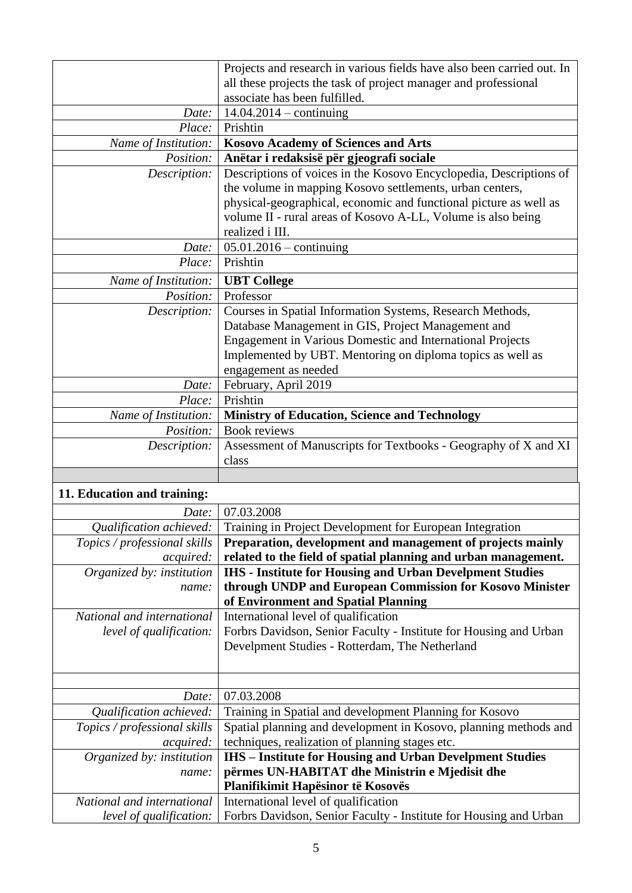|                      | Projects and research in various fields have also been carried out. In<br>all these projects the task of project manager and professional<br>associate has been fulfilled.                                                                                                             |
|----------------------|----------------------------------------------------------------------------------------------------------------------------------------------------------------------------------------------------------------------------------------------------------------------------------------|
| Date:                | $14.04.2014 - \text{continuing}$                                                                                                                                                                                                                                                       |
| Place:               | Prishtin                                                                                                                                                                                                                                                                               |
| Name of Institution: | <b>Kosovo Academy of Sciences and Arts</b>                                                                                                                                                                                                                                             |
| Position:            | Anëtar i redaksisë për gjeografi sociale                                                                                                                                                                                                                                               |
| Description:         | Descriptions of voices in the Kosovo Encyclopedia, Descriptions of<br>the volume in mapping Kosovo settlements, urban centers,<br>physical-geographical, economic and functional picture as well as<br>volume II - rural areas of Kosovo A-LL, Volume is also being<br>realized i III. |
| Date:                | $05.01.2016 - \text{continuing}$                                                                                                                                                                                                                                                       |
| Place:               | Prishtin                                                                                                                                                                                                                                                                               |
| Name of Institution: | <b>UBT</b> College                                                                                                                                                                                                                                                                     |
| Position:            | Professor                                                                                                                                                                                                                                                                              |
| Description:         | Courses in Spatial Information Systems, Research Methods,<br>Database Management in GIS, Project Management and<br><b>Engagement in Various Domestic and International Projects</b><br>Implemented by UBT. Mentoring on diploma topics as well as<br>engagement as needed              |
| Date:                | February, April 2019                                                                                                                                                                                                                                                                   |
| Place:               | Prishtin                                                                                                                                                                                                                                                                               |
| Name of Institution: | <b>Ministry of Education, Science and Technology</b>                                                                                                                                                                                                                                   |
| Position:            | <b>Book reviews</b>                                                                                                                                                                                                                                                                    |
| Description:         | Assessment of Manuscripts for Textbooks - Geography of X and XI<br>class                                                                                                                                                                                                               |

## **11. Education and training:**

| Date:                        | 07.03.2008                                                        |  |
|------------------------------|-------------------------------------------------------------------|--|
| Qualification achieved:      | Training in Project Development for European Integration          |  |
| Topics / professional skills | Preparation, development and management of projects mainly        |  |
| <i>acquired:</i>             | related to the field of spatial planning and urban management.    |  |
| Organized by: institution    | <b>IHS</b> - Institute for Housing and Urban Develpment Studies   |  |
| name:                        | through UNDP and European Commission for Kosovo Minister          |  |
|                              | of Environment and Spatial Planning                               |  |
| National and international   | International level of qualification                              |  |
| level of qualification:      | Forbrs Davidson, Senior Faculty - Institute for Housing and Urban |  |
|                              | Develpment Studies - Rotterdam, The Netherland                    |  |
|                              |                                                                   |  |
|                              |                                                                   |  |
| Date:                        | 07.03.2008                                                        |  |
| Qualification achieved:      | Training in Spatial and development Planning for Kosovo           |  |
| Topics / professional skills | Spatial planning and development in Kosovo, planning methods and  |  |
| <i>acquired:</i>             | techniques, realization of planning stages etc.                   |  |
| Organized by: institution    | <b>IHS</b> – Institute for Housing and Urban Develpment Studies   |  |
| name:                        | përmes UN-HABITAT dhe Ministrin e Mjedisit dhe                    |  |
|                              | Planifikimit Hapësinor të Kosovës                                 |  |
| National and international   | International level of qualification                              |  |
| level of qualification:      | Forbrs Davidson, Senior Faculty - Institute for Housing and Urban |  |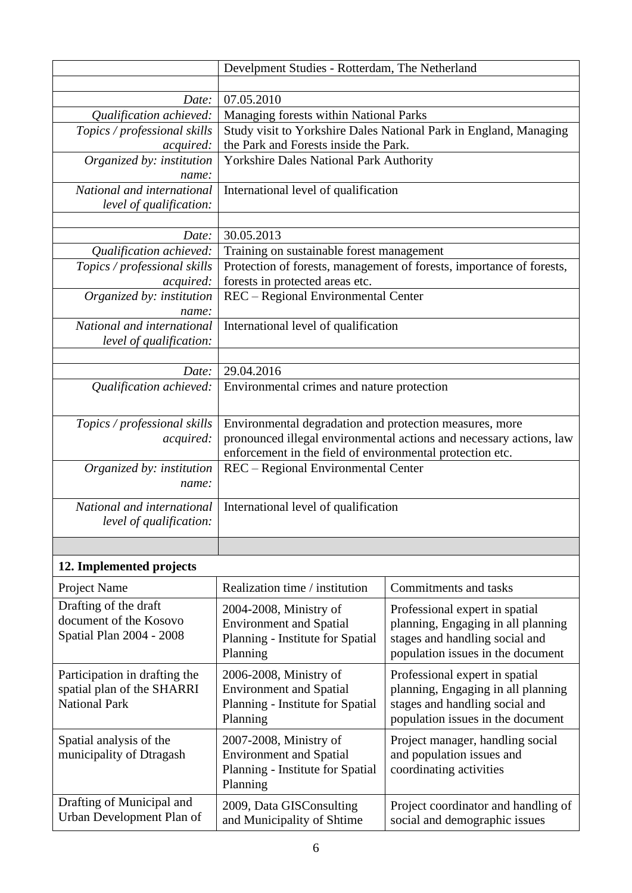|                                                             | Develpment Studies - Rotterdam, The Netherland                                                                             |                                                                      |  |
|-------------------------------------------------------------|----------------------------------------------------------------------------------------------------------------------------|----------------------------------------------------------------------|--|
|                                                             |                                                                                                                            |                                                                      |  |
| Date:                                                       | 07.05.2010                                                                                                                 |                                                                      |  |
| Qualification achieved:                                     | Managing forests within National Parks                                                                                     |                                                                      |  |
| Topics / professional skills                                |                                                                                                                            | Study visit to Yorkshire Dales National Park in England, Managing    |  |
| <i>acquired:</i>                                            | the Park and Forests inside the Park.                                                                                      |                                                                      |  |
| Organized by: institution                                   | <b>Yorkshire Dales National Park Authority</b>                                                                             |                                                                      |  |
| name:                                                       |                                                                                                                            |                                                                      |  |
| National and international                                  | International level of qualification                                                                                       |                                                                      |  |
| level of qualification:                                     |                                                                                                                            |                                                                      |  |
| Date:                                                       | 30.05.2013                                                                                                                 |                                                                      |  |
| Qualification achieved:                                     | Training on sustainable forest management                                                                                  |                                                                      |  |
| Topics / professional skills                                |                                                                                                                            | Protection of forests, management of forests, importance of forests, |  |
| <i>acquired:</i>                                            | forests in protected areas etc.                                                                                            |                                                                      |  |
| Organized by: institution                                   | REC - Regional Environmental Center                                                                                        |                                                                      |  |
| name:                                                       |                                                                                                                            |                                                                      |  |
| National and international                                  | International level of qualification                                                                                       |                                                                      |  |
| level of qualification:                                     |                                                                                                                            |                                                                      |  |
|                                                             |                                                                                                                            |                                                                      |  |
| Date:                                                       | 29.04.2016                                                                                                                 |                                                                      |  |
| Qualification achieved:                                     | Environmental crimes and nature protection                                                                                 |                                                                      |  |
|                                                             |                                                                                                                            |                                                                      |  |
| Topics / professional skills                                | Environmental degradation and protection measures, more                                                                    |                                                                      |  |
| acquired:                                                   |                                                                                                                            | pronounced illegal environmental actions and necessary actions, law  |  |
|                                                             | enforcement in the field of environmental protection etc.                                                                  |                                                                      |  |
| Organized by: institution                                   | REC – Regional Environmental Center                                                                                        |                                                                      |  |
| name:                                                       |                                                                                                                            |                                                                      |  |
| National and international                                  | International level of qualification                                                                                       |                                                                      |  |
| level of qualification:                                     |                                                                                                                            |                                                                      |  |
|                                                             |                                                                                                                            |                                                                      |  |
| 12. Implemented projects                                    |                                                                                                                            |                                                                      |  |
| Project Name                                                | Realization time / institution                                                                                             | Commitments and tasks                                                |  |
| Drafting of the draft                                       | 2004-2008, Ministry of                                                                                                     |                                                                      |  |
| document of the Kosovo                                      | <b>Environment and Spatial</b>                                                                                             | Professional expert in spatial<br>planning, Engaging in all planning |  |
| Spatial Plan 2004 - 2008                                    | Planning - Institute for Spatial                                                                                           | stages and handling social and                                       |  |
|                                                             | Planning                                                                                                                   | population issues in the document                                    |  |
|                                                             |                                                                                                                            |                                                                      |  |
| Participation in drafting the<br>spatial plan of the SHARRI | 2006-2008, Ministry of<br><b>Environment and Spatial</b>                                                                   | Professional expert in spatial<br>planning, Engaging in all planning |  |
| <b>National Park</b>                                        | Planning - Institute for Spatial                                                                                           | stages and handling social and                                       |  |
|                                                             | Planning                                                                                                                   | population issues in the document                                    |  |
|                                                             |                                                                                                                            |                                                                      |  |
| Spatial analysis of the                                     | 2007-2008, Ministry of                                                                                                     | Project manager, handling social                                     |  |
| municipality of Dtragash                                    | and population issues and<br><b>Environment and Spatial</b><br>Planning - Institute for Spatial<br>coordinating activities |                                                                      |  |
|                                                             | Planning                                                                                                                   |                                                                      |  |
| Drafting of Municipal and                                   |                                                                                                                            |                                                                      |  |
| Urban Development Plan of                                   | 2009, Data GISConsulting                                                                                                   | Project coordinator and handling of                                  |  |
|                                                             | and Municipality of Shtime                                                                                                 | social and demographic issues                                        |  |